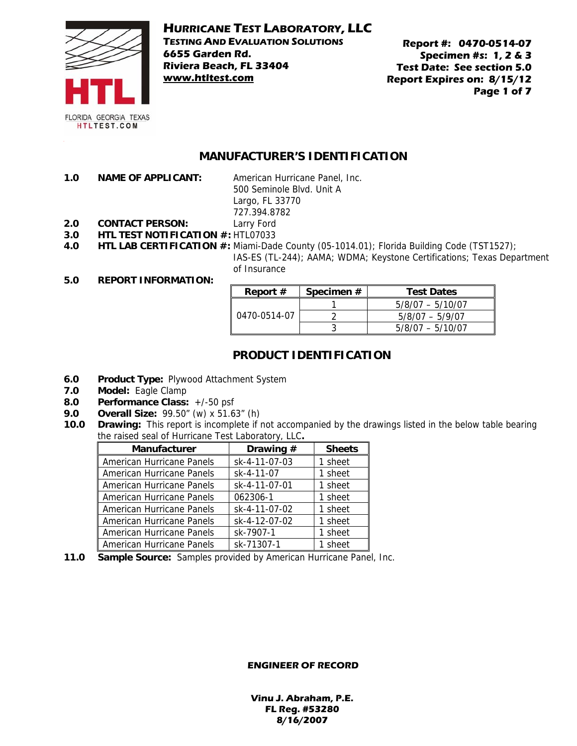

# **HURRICANE TEST LABORATORY, LLC**

**TESTING AND EVALUATION SOLUTIONS 6655 Garden Rd. Riviera Beach, FL 33404 www.htltest.com**

**Report #: 0470-0514-07 Specimen #s: 1, 2 & 3 Test Date: See section 5.0 Report Expires on: 8/15/12 Page 1 of 7** 

### **MANUFACTURER'S IDENTIFICATION**

**1.0 NAME OF APPLICANT:** American Hurricane Panel, Inc.

500 Seminole Blvd. Unit A Largo, FL 33770 727.394.8782

- **2.0 CONTACT PERSON:** Larry Ford
- **3.0 HTL TEST NOTIFICATION #:** HTL07033
- **4.0 HTL LAB CERTIFICATION #:** Miami-Dade County (05-1014.01); Florida Building Code (TST1527);

IAS-ES (TL-244); AAMA; WDMA; Keystone Certifications; Texas Department of Insurance

#### **5.0 REPORT INFORMATION:**

| Report $#$   | Specimen # | <b>Test Dates</b>  |
|--------------|------------|--------------------|
| 0470-0514-07 |            | $5/8/07 - 5/10/07$ |
|              |            | $5/8/07 - 5/9/07$  |
|              |            | $5/8/07 - 5/10/07$ |

# **PRODUCT IDENTIFICATION**

- **6.0 Product Type:** Plywood Attachment System
- **7.0 Model:** Eagle Clamp
- **8.0 Performance Class:** +/-50 psf
- **9.0 Overall Size:** 99.50" (w) x 51.63" (h)
- **10.0 Drawing:** This report is incomplete if not accompanied by the drawings listed in the below table bearing the raised seal of Hurricane Test Laboratory, LLC**.**

| Manufacturer              | Drawing #     | <b>Sheets</b> |
|---------------------------|---------------|---------------|
| American Hurricane Panels | sk-4-11-07-03 | 1 sheet       |
| American Hurricane Panels | sk-4-11-07    | 1 sheet       |
| American Hurricane Panels | sk-4-11-07-01 | 1 sheet       |
| American Hurricane Panels | 062306-1      | 1 sheet       |
| American Hurricane Panels | sk-4-11-07-02 | 1 sheet       |
| American Hurricane Panels | sk-4-12-07-02 | 1 sheet       |
| American Hurricane Panels | sk-7907-1     | 1 sheet       |
| American Hurricane Panels | sk-71307-1    | sheet         |

**11.0 Sample Source:** Samples provided by American Hurricane Panel, Inc.

#### **ENGINEER OF RECORD**

**Vinu J. Abraham, P.E. FL Reg. #53280 8/16/2007**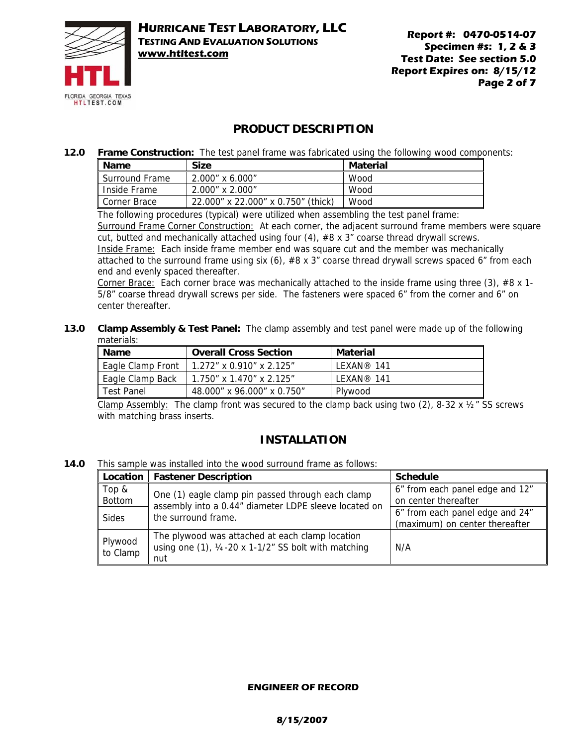

# **PRODUCT DESCRIPTION**

**12.0 Frame Construction:** The test panel frame was fabricated using the following wood components:

| $\blacksquare$ Name   | <b>Size</b>                        | Material |
|-----------------------|------------------------------------|----------|
| <b>Surround Frame</b> | 2.000" x 6.000"                    | Wood     |
| Inside Frame          | 2.000" x 2.000"                    | Wood     |
| Corner Brace          | 22.000" x 22.000" x 0.750" (thick) | Wood     |

The following procedures (typical) were utilized when assembling the test panel frame:

Surround Frame Corner Construction: At each corner, the adjacent surround frame members were square cut, butted and mechanically attached using four (4), #8 x 3" coarse thread drywall screws. Inside Frame: Each inside frame member end was square cut and the member was mechanically

attached to the surround frame using six (6),  $#8 \times 3"$  coarse thread drywall screws spaced 6" from each end and evenly spaced thereafter.

Corner Brace: Each corner brace was mechanically attached to the inside frame using three (3), #8  $x$  1-5/8" coarse thread drywall screws per side. The fasteners were spaced 6" from the corner and 6" on center thereafter.

#### **13.0 Clamp Assembly & Test Panel:** The clamp assembly and test panel were made up of the following materials:

| <b>Name</b>       | <b>Overall Cross Section</b> | Material          |
|-------------------|------------------------------|-------------------|
| Eagle Clamp Front | $1.272"$ x 0.910" x 2.125"   | <b>IFXAN®</b> 141 |
| Eagle Clamp Back  | 1.750" x 1.470" x 2.125"     | I FXAN® 141       |
| Test Panel        | 48.000" x 96.000" x 0.750"   | Plywood           |

Clamp Assembly: The clamp front was secured to the clamp back using two (2), 8-32 x  $\frac{1}{2}$  SS screws with matching brass inserts.

# **INSTALLATION**

**14.0** This sample was installed into the wood surround frame as follows:

|                     | Location   Fastener Description                                                                                              | <b>Schedule</b>                                                   |
|---------------------|------------------------------------------------------------------------------------------------------------------------------|-------------------------------------------------------------------|
| Top &<br>Bottom     | One (1) eagle clamp pin passed through each clamp<br>assembly into a 0.44" diameter LDPE sleeve located on                   | 6" from each panel edge and 12"<br>on center thereafter           |
| <b>Sides</b>        | the surround frame.                                                                                                          | 6" from each panel edge and 24"<br>(maximum) on center thereafter |
| Plywood<br>to Clamp | The plywood was attached at each clamp location<br>using one $(1)$ , $\frac{1}{4}$ -20 x 1-1/2" SS bolt with matching<br>nut | N/A                                                               |

### **ENGINEER OF RECORD**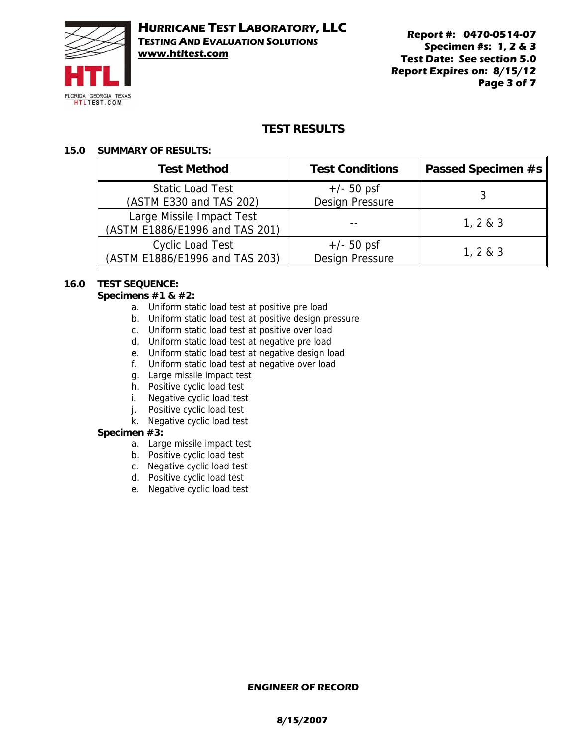

**Report #: 0470-0514-07 Specimen #s: 1, 2 & 3 Test Date: See section 5.0 Report Expires on: 8/15/12 Page 3 of 7** 

# **TEST RESULTS**

# **15.0 SUMMARY OF RESULTS:**

| <b>Test Method</b>             | <b>Test Conditions</b> | Passed Specimen #s |
|--------------------------------|------------------------|--------------------|
| <b>Static Load Test</b>        | $+/- 50$ psf           |                    |
| (ASTM E330 and TAS 202)        | <b>Design Pressure</b> |                    |
| Large Missile Impact Test      |                        |                    |
| (ASTM E1886/E1996 and TAS 201) |                        | 1, 2 & 8 & 3       |
| <b>Cyclic Load Test</b>        | $+/- 50$ psf           |                    |
| (ASTM E1886/E1996 and TAS 203) | <b>Design Pressure</b> | 1, 2 & 3           |

# **16.0 TEST SEQUENCE:**

### **Specimens #1 & #2:**

- a. Uniform static load test at positive pre load
- b. Uniform static load test at positive design pressure
- c. Uniform static load test at positive over load
- d. Uniform static load test at negative pre load
- e. Uniform static load test at negative design load
- f. Uniform static load test at negative over load
- g. Large missile impact test
- h. Positive cyclic load test
- i. Negative cyclic load test
- j. Positive cyclic load test
- k. Negative cyclic load test

#### **Specimen #3:**

- a. Large missile impact test
- b. Positive cyclic load test
- c. Negative cyclic load test
- d. Positive cyclic load test
- e. Negative cyclic load test

#### **ENGINEER OF RECORD**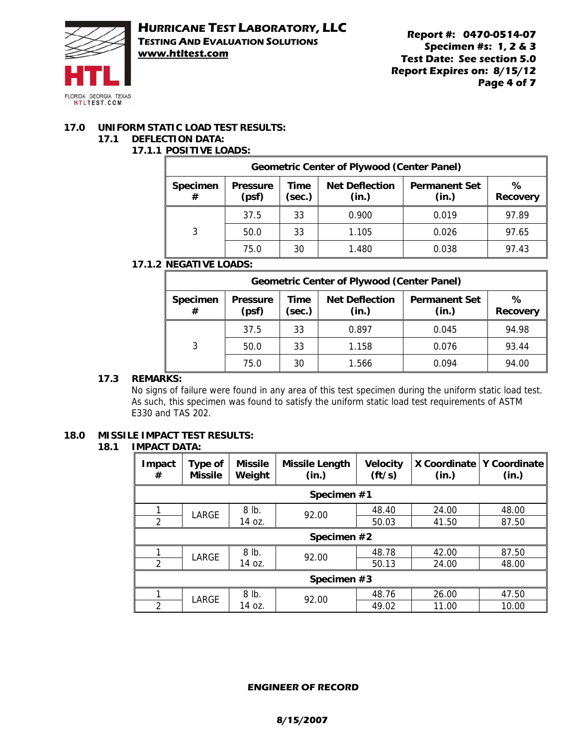

**Report #: 0470-0514-07 Specimen #s: 1, 2 & 3 Test Date: See section 5.0 Report Expires on: 8/15/12 Page 4 of 7** 

# **17.0 UNIFORM STATIC LOAD TEST RESULTS:**

### **17.1 DEFLECTION DATA:**

# **17.1.1 POSITIVE LOADS:**

| <b>Geometric Center of Plywood (Center Panel)</b> |                          |                                                                                                      |       |       |       |
|---------------------------------------------------|--------------------------|------------------------------------------------------------------------------------------------------|-------|-------|-------|
| <b>Specimen</b><br>#                              | <b>Pressure</b><br>(psf) | <b>Net Deflection</b><br>Time<br><b>Permanent Set</b><br>(sec.)<br>(in.)<br>(in.)<br><b>Recovery</b> |       |       |       |
|                                                   | 37.5                     | 33                                                                                                   | 0.900 | 0.019 | 97.89 |
| 3                                                 | 50.0                     | 33                                                                                                   | 1.105 | 0.026 | 97.65 |
|                                                   | 75.0                     | 30                                                                                                   | 1.480 | 0.038 | 97.43 |

# **17.1.2 NEGATIVE LOADS:**

| <b>Geometric Center of Plywood (Center Panel)</b> |                                                                                                               |    |       |       |                      |
|---------------------------------------------------|---------------------------------------------------------------------------------------------------------------|----|-------|-------|----------------------|
| Specimen<br>#                                     | <b>Net Deflection</b><br><b>Permanent Set</b><br><b>Pressure</b><br>Time<br>(psf)<br>(sec.)<br>(in.)<br>(in.) |    |       |       | %<br><b>Recovery</b> |
|                                                   | 37.5                                                                                                          | 33 | 0.897 | 0.045 | 94.98                |
| 3                                                 | 50.0                                                                                                          | 33 | 1.158 | 0.076 | 93.44                |
|                                                   | 75.0                                                                                                          | 30 | 1.566 | 0.094 | 94.00                |

# **17.3 REMARKS:**

No signs of failure were found in any area of this test specimen during the uniform static load test. As such, this specimen was found to satisfy the uniform static load test requirements of ASTM E330 and TAS 202.

# **18.0 MISSILE IMPACT TEST RESULTS:**

#### **18.1 IMPACT DATA:**

| Impact<br>#    | Type of<br><b>Missile</b> | <b>Missile</b><br>Weight | <b>Missile Length</b><br>(in.) | <b>Velocity</b><br>$({\rm ft/s})$ | X Coordinate<br>(in.) | Y Coordinate<br>(in.) |
|----------------|---------------------------|--------------------------|--------------------------------|-----------------------------------|-----------------------|-----------------------|
|                |                           |                          | Specimen #1                    |                                   |                       |                       |
|                | LARGE                     | 8 lb.                    | 92.00                          | 48.40                             | 24.00                 | 48.00                 |
| $\overline{2}$ |                           | 14 oz.                   |                                | 50.03                             | 41.50                 | 87.50                 |
|                | Specimen #2               |                          |                                |                                   |                       |                       |
|                | LARGE                     | 8 lb.                    | 92.00                          | 48.78                             | 42.00                 | 87.50                 |
| $\overline{2}$ |                           | 14 oz.                   |                                | 50.13                             | 24.00                 | 48.00                 |
| Specimen #3    |                           |                          |                                |                                   |                       |                       |
|                | LARGE                     | 8 lb.                    | 92.00                          | 48.76                             | 26.00                 | 47.50                 |
| $\overline{2}$ |                           | 14 oz.                   |                                | 49.02                             | 11.00                 | 10.00                 |

### **ENGINEER OF RECORD**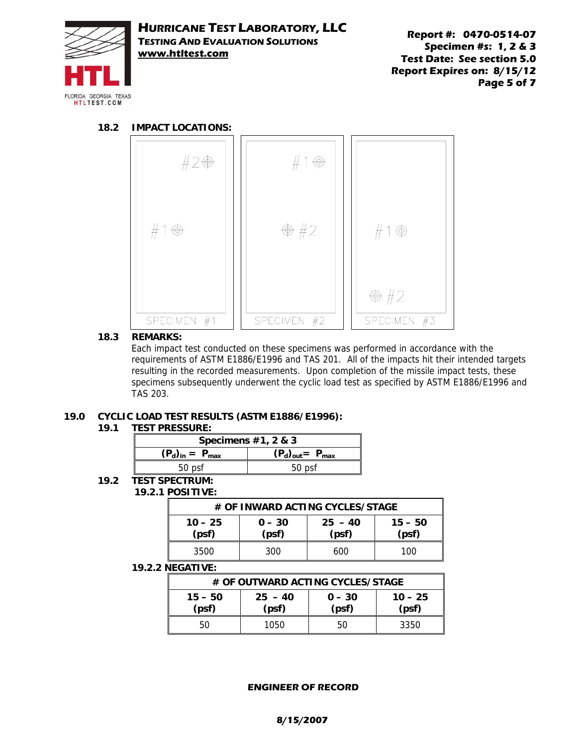

**Report #: 0470-0514-07 Specimen #s: 1, 2 & 3 Test Date: See section 5.0 Report Expires on: 8/15/12 Page 5 of 7** 

#### **18.2 IMPACT LOCATIONS:**



#### **18.3 REMARKS:**

Each impact test conducted on these specimens was performed in accordance with the requirements of ASTM E1886/E1996 and TAS 201. All of the impacts hit their intended targets resulting in the recorded measurements. Upon completion of the missile impact tests, these specimens subsequently underwent the cyclic load test as specified by ASTM E1886/E1996 and TAS 203.

# **19.0 CYCLIC LOAD TEST RESULTS (ASTM E1886/E1996):**

#### **19.1 TEST PRESSURE:**

| Specimens $#1, 2 \& 3$                            |        |  |  |  |
|---------------------------------------------------|--------|--|--|--|
| $(P_d)_{in} = P_{max}$<br>$(P_d)_{out} = P_{max}$ |        |  |  |  |
| 50 psf                                            | 50 psf |  |  |  |

#### **19.2 TEST SPECTRUM: 19.2.1 POSITIVE:**

| # OF INWARD ACTING CYCLES/STAGE                                                     |     |     |     |  |  |
|-------------------------------------------------------------------------------------|-----|-----|-----|--|--|
| $10 - 25$<br>$25 - 40$<br>$15 - 50$<br>$0 - 30$<br>(psf)<br>(psf)<br>(psf)<br>(psf) |     |     |     |  |  |
| 3500                                                                                | 300 | 600 | 100 |  |  |

#### **19.2.2 NEGATIVE:**

| # OF OUTWARD ACTING CYCLES/STAGE                                                    |      |    |      |  |  |
|-------------------------------------------------------------------------------------|------|----|------|--|--|
| $15 - 50$<br>$25 - 40$<br>$10 - 25$<br>$0 - 30$<br>(psf)<br>(psf)<br>(psf)<br>(psf) |      |    |      |  |  |
| 50                                                                                  | 1050 | 50 | 3350 |  |  |

#### **ENGINEER OF RECORD**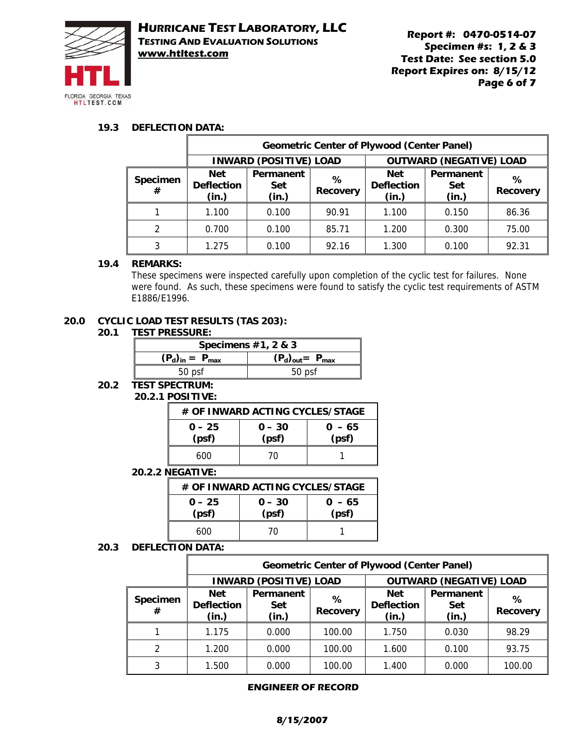

### **19.3 DEFLECTION DATA:**

|                      | <b>Geometric Center of Plywood (Center Panel)</b> |                                  |                      |                                          |                                  |                      |
|----------------------|---------------------------------------------------|----------------------------------|----------------------|------------------------------------------|----------------------------------|----------------------|
|                      | <b>INWARD (POSITIVE) LOAD</b>                     |                                  |                      | <b>OUTWARD (NEGATIVE) LOAD</b>           |                                  |                      |
| <b>Specimen</b><br># | <b>Net</b><br><b>Deflection</b><br>(in.)          | Permanent<br><b>Set</b><br>(in.) | %<br><b>Recovery</b> | <b>Net</b><br><b>Deflection</b><br>(in.) | Permanent<br><b>Set</b><br>(in.) | ℅<br><b>Recovery</b> |
|                      | 1.100                                             | 0.100                            | 90.91                | 1.100                                    | 0.150                            | 86.36                |
| $\mathcal{P}$        | 0.700                                             | 0.100                            | 85.71                | 1.200                                    | 0.300                            | 75.00                |
| 3                    | 1.275                                             | 0.100                            | 92.16                | 1.300                                    | 0.100                            | 92.31                |

### **19.4 REMARKS:**

These specimens were inspected carefully upon completion of the cyclic test for failures. None were found. As such, these specimens were found to satisfy the cyclic test requirements of ASTM E1886/E1996.

#### **20.0 CYCLIC LOAD TEST RESULTS (TAS 203):**

#### **20.1 TEST PRESSURE:**

| Specimens $#1, 2 \& 3$ |                         |  |  |  |
|------------------------|-------------------------|--|--|--|
| $(P_d)_{in} = P_{max}$ | $(P_d)_{out} = P_{max}$ |  |  |  |
| 50 psf                 | 50 psf                  |  |  |  |

### **20.2 TEST SPECTRUM:**

### **20.2.1 POSITIVE:**

| # OF INWARD ACTING CYCLES/STAGE |                   |                   |  |  |  |
|---------------------------------|-------------------|-------------------|--|--|--|
| $0 - 25$<br>(psf)               | $0 - 30$<br>(psf) | $0 - 65$<br>(psf) |  |  |  |
| 600                             | 70                |                   |  |  |  |

### **20.2.2 NEGATIVE:**

| # OF INWARD ACTING CYCLES/STAGE |                   |                   |  |  |  |
|---------------------------------|-------------------|-------------------|--|--|--|
| $0 - 25$<br>(psf)               | $0 - 30$<br>(psf) | $0 - 65$<br>(psf) |  |  |  |
| 600                             | 70                |                   |  |  |  |

#### **20.3 DEFLECTION DATA:**

|                      | <b>Geometric Center of Plywood (Center Panel)</b> |                                  |                      |                                          |                                  |                      |
|----------------------|---------------------------------------------------|----------------------------------|----------------------|------------------------------------------|----------------------------------|----------------------|
|                      | <b>INWARD (POSITIVE) LOAD</b>                     |                                  |                      | <b>OUTWARD (NEGATIVE) LOAD</b>           |                                  |                      |
| <b>Specimen</b><br># | <b>Net</b><br><b>Deflection</b><br>(in.)          | Permanent<br><b>Set</b><br>(in.) | ℅<br><b>Recovery</b> | <b>Net</b><br><b>Deflection</b><br>(in.) | Permanent<br><b>Set</b><br>(in.) | ℅<br><b>Recovery</b> |
|                      | 1.175                                             | 0.000                            | 100.00               | 1.750                                    | 0.030                            | 98.29                |
| $\mathcal{P}$        | 1.200                                             | 0.000                            | 100.00               | 1.600                                    | 0.100                            | 93.75                |
| 3                    | 1.500                                             | 0.000                            | 100.00               | 1.400                                    | 0.000                            | 100.00               |

#### **ENGINEER OF RECORD**